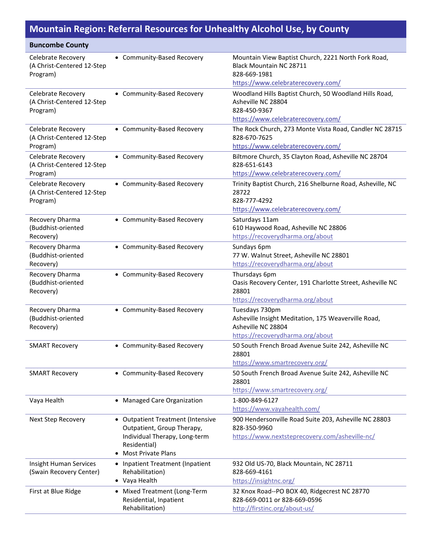## **Mountain Region: Referral Resources for Unhealthy Alcohol Use, by County**

| <b>Buncombe County</b>                                       |                                                                                                                                               |                                                                                                                                      |
|--------------------------------------------------------------|-----------------------------------------------------------------------------------------------------------------------------------------------|--------------------------------------------------------------------------------------------------------------------------------------|
| Celebrate Recovery<br>(A Christ-Centered 12-Step<br>Program) | • Community-Based Recovery                                                                                                                    | Mountain View Baptist Church, 2221 North Fork Road,<br>Black Mountain NC 28711<br>828-669-1981<br>https://www.celebraterecovery.com/ |
| Celebrate Recovery<br>(A Christ-Centered 12-Step<br>Program) | • Community-Based Recovery                                                                                                                    | Woodland Hills Baptist Church, 50 Woodland Hills Road,<br>Asheville NC 28804<br>828-450-9367<br>https://www.celebraterecovery.com/   |
| Celebrate Recovery<br>(A Christ-Centered 12-Step<br>Program) | • Community-Based Recovery                                                                                                                    | The Rock Church, 273 Monte Vista Road, Candler NC 28715<br>828-670-7625<br>https://www.celebraterecovery.com/                        |
| Celebrate Recovery<br>(A Christ-Centered 12-Step<br>Program) | • Community-Based Recovery                                                                                                                    | Biltmore Church, 35 Clayton Road, Asheville NC 28704<br>828-651-6143<br>https://www.celebraterecovery.com/                           |
| Celebrate Recovery<br>(A Christ-Centered 12-Step<br>Program) | • Community-Based Recovery                                                                                                                    | Trinity Baptist Church, 216 Shelburne Road, Asheville, NC<br>28722<br>828-777-4292<br>https://www.celebraterecovery.com/             |
| Recovery Dharma<br>(Buddhist-oriented<br>Recovery)           | • Community-Based Recovery                                                                                                                    | Saturdays 11am<br>610 Haywood Road, Asheville NC 28806<br>https://recoverydharma.org/about                                           |
| Recovery Dharma<br>(Buddhist-oriented<br>Recovery)           | • Community-Based Recovery                                                                                                                    | Sundays 6pm<br>77 W. Walnut Street, Asheville NC 28801<br>https://recoverydharma.org/about                                           |
| Recovery Dharma<br>(Buddhist-oriented<br>Recovery)           | • Community-Based Recovery                                                                                                                    | Thursdays 6pm<br>Oasis Recovery Center, 191 Charlotte Street, Asheville NC<br>28801<br>https://recoverydharma.org/about              |
| Recovery Dharma<br>(Buddhist-oriented<br>Recovery)           | • Community-Based Recovery                                                                                                                    | Tuesdays 730pm<br>Asheville Insight Meditation, 175 Weaverville Road,<br>Asheville NC 28804<br>https://recoverydharma.org/about      |
| <b>SMART Recovery</b>                                        | • Community-Based Recovery                                                                                                                    | 50 South French Broad Avenue Suite 242, Asheville NC<br>28801<br>https://www.smartrecovery.org/                                      |
| <b>SMART Recovery</b>                                        | • Community-Based Recovery                                                                                                                    | 50 South French Broad Avenue Suite 242, Asheville NC<br>28801<br>https://www.smartrecovery.org/                                      |
| Vaya Health                                                  | • Managed Care Organization                                                                                                                   | 1-800-849-6127<br>https://www.vayahealth.com/                                                                                        |
| Next Step Recovery                                           | • Outpatient Treatment (Intensive<br>Outpatient, Group Therapy,<br>Individual Therapy, Long-term<br>Residential)<br><b>Most Private Plans</b> | 900 Hendersonville Road Suite 203, Asheville NC 28803<br>828-350-9960<br>https://www.nextsteprecovery.com/asheville-nc/              |
| Insight Human Services<br>(Swain Recovery Center)            | • Inpatient Treatment (Inpatient<br>Rehabilitation)<br>• Vaya Health                                                                          | 932 Old US-70, Black Mountain, NC 28711<br>828-669-4161<br>https://insightnc.org/                                                    |
| First at Blue Ridge                                          | • Mixed Treatment (Long-Term<br>Residential, Inpatient<br>Rehabilitation)                                                                     | 32 Knox Road--PO BOX 40, Ridgecrest NC 28770<br>828-669-0011 or 828-669-0596<br>http://firstinc.org/about-us/                        |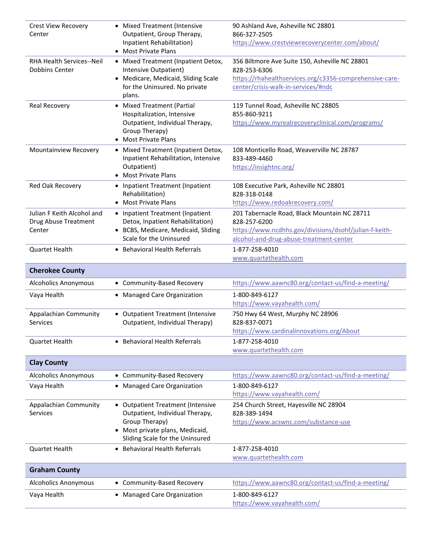| Crest View Recovery<br>Center                      | • Mixed Treatment (Intensive<br>Outpatient, Group Therapy,<br>Inpatient Rehabilitation) | 90 Ashland Ave, Asheville NC 28801<br>866-327-2505<br>https://www.crestviewrecoverycenter.com/about/ |
|----------------------------------------------------|-----------------------------------------------------------------------------------------|------------------------------------------------------------------------------------------------------|
|                                                    | • Most Private Plans                                                                    |                                                                                                      |
| <b>RHA Health Services--Neil</b><br>Dobbins Center | • Mixed Treatment (Inpatient Detox,<br>Intensive Outpatient)                            | 356 Biltmore Ave Suite 150, Asheville NC 28801<br>828-253-6306                                       |
|                                                    | • Medicare, Medicaid, Sliding Scale                                                     | https://rhahealthservices.org/c3356-comprehensive-care-                                              |
|                                                    | for the Uninsured. No private<br>plans.                                                 | center/crisis-walk-in-services/#ndc                                                                  |
| <b>Real Recovery</b>                               | • Mixed Treatment (Partial                                                              | 119 Tunnel Road, Asheville NC 28805                                                                  |
|                                                    | Hospitalization, Intensive                                                              | 855-860-9211                                                                                         |
|                                                    | Outpatient, Individual Therapy,                                                         | https://www.myrealrecoveryclinical.com/programs/                                                     |
|                                                    | Group Therapy)<br><b>Most Private Plans</b>                                             |                                                                                                      |
| Mountainview Recovery                              | • Mixed Treatment (Inpatient Detox,                                                     | 108 Monticello Road, Weaverville NC 28787                                                            |
|                                                    | Inpatient Rehabilitation, Intensive                                                     | 833-489-4460                                                                                         |
|                                                    | Outpatient)                                                                             | https://insightnc.org/                                                                               |
|                                                    | • Most Private Plans                                                                    |                                                                                                      |
| Red Oak Recovery                                   | • Inpatient Treatment (Inpatient                                                        | 108 Executive Park, Asheville NC 28801                                                               |
|                                                    | Rehabilitation)<br>• Most Private Plans                                                 | 828-318-0148<br>https://www.redoakrecovery.com/                                                      |
| Julian F Keith Alcohol and                         | • Inpatient Treatment (Inpatient                                                        | 201 Tabernacle Road, Black Mountain NC 28711                                                         |
| Drug Abuse Treatment                               | Detox, Inpatient Rehabilitation)                                                        | 828-257-6200                                                                                         |
| Center                                             | • BCBS, Medicare, Medicaid, Sliding                                                     | https://www.ncdhhs.gov/divisions/dsohf/julian-f-keith-                                               |
|                                                    | Scale for the Uninsured                                                                 | alcohol-and-drug-abuse-treatment-center                                                              |
| <b>Quartet Health</b>                              | • Behavioral Health Referrals                                                           | 1-877-258-4010                                                                                       |
|                                                    |                                                                                         | www.quartethealth.com                                                                                |
| <b>Cherokee County</b>                             |                                                                                         |                                                                                                      |
| <b>Alcoholics Anonymous</b>                        | • Community-Based Recovery                                                              | https://www.aawnc80.org/contact-us/find-a-meeting/                                                   |
| Vaya Health                                        | • Managed Care Organization                                                             | 1-800-849-6127                                                                                       |
|                                                    |                                                                                         | https://www.vayahealth.com/                                                                          |
| Appalachian Community                              | • Outpatient Treatment (Intensive                                                       | 750 Hwy 64 West, Murphy NC 28906                                                                     |
| <b>Services</b>                                    | Outpatient, Individual Therapy)                                                         | 828-837-0071<br>https://www.cardinalinnovations.org/About                                            |
| <b>Quartet Health</b>                              | • Behavioral Health Referrals                                                           | 1-877-258-4010                                                                                       |
|                                                    |                                                                                         | www.quartethealth.com                                                                                |
| <b>Clay County</b>                                 |                                                                                         |                                                                                                      |
| <b>Alcoholics Anonymous</b>                        | • Community-Based Recovery                                                              | https://www.aawnc80.org/contact-us/find-a-meeting/                                                   |
| Vaya Health                                        | • Managed Care Organization                                                             | 1-800-849-6127                                                                                       |
|                                                    |                                                                                         | https://www.vayahealth.com/                                                                          |
| Appalachian Community                              | • Outpatient Treatment (Intensive                                                       | 254 Church Street, Hayesville NC 28904                                                               |
| Services                                           | Outpatient, Individual Therapy,                                                         | 828-389-1494                                                                                         |
|                                                    | Group Therapy)                                                                          | https://www.acswnc.com/substance-use                                                                 |
|                                                    | • Most private plans, Medicaid,<br>Sliding Scale for the Uninsured                      |                                                                                                      |
| <b>Quartet Health</b>                              | <b>Behavioral Health Referrals</b>                                                      | 1-877-258-4010                                                                                       |
|                                                    |                                                                                         | www.quartethealth.com                                                                                |
| <b>Graham County</b>                               |                                                                                         |                                                                                                      |
| <b>Alcoholics Anonymous</b>                        | • Community-Based Recovery                                                              | https://www.aawnc80.org/contact-us/find-a-meeting/                                                   |
| Vaya Health                                        | • Managed Care Organization                                                             | 1-800-849-6127                                                                                       |
|                                                    |                                                                                         | https://www.vayahealth.com/                                                                          |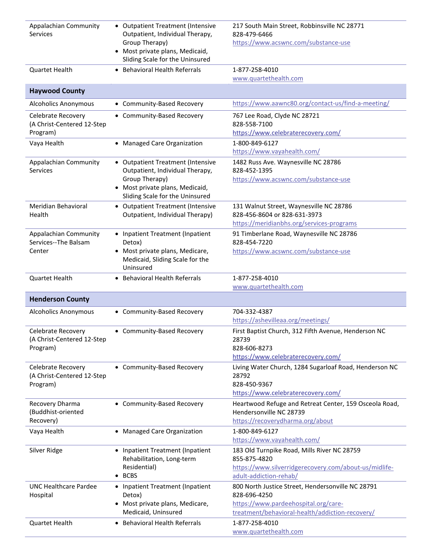| Appalachian Community<br><b>Services</b>                     | • Outpatient Treatment (Intensive<br>Outpatient, Individual Therapy,<br>Group Therapy)<br>• Most private plans, Medicaid,<br>Sliding Scale for the Uninsured | 217 South Main Street, Robbinsville NC 28771<br>828-479-6466<br>https://www.acswnc.com/substance-use                                                         |
|--------------------------------------------------------------|--------------------------------------------------------------------------------------------------------------------------------------------------------------|--------------------------------------------------------------------------------------------------------------------------------------------------------------|
| Quartet Health                                               | • Behavioral Health Referrals                                                                                                                                | 1-877-258-4010<br>www.quartethealth.com                                                                                                                      |
| <b>Haywood County</b>                                        |                                                                                                                                                              |                                                                                                                                                              |
| <b>Alcoholics Anonymous</b>                                  | • Community-Based Recovery                                                                                                                                   | https://www.aawnc80.org/contact-us/find-a-meeting/                                                                                                           |
| Celebrate Recovery<br>(A Christ-Centered 12-Step<br>Program) | • Community-Based Recovery                                                                                                                                   | 767 Lee Road, Clyde NC 28721<br>828-558-7100<br>https://www.celebraterecovery.com/                                                                           |
| Vaya Health                                                  | • Managed Care Organization                                                                                                                                  | 1-800-849-6127<br>https://www.vayahealth.com/                                                                                                                |
| Appalachian Community<br><b>Services</b>                     | • Outpatient Treatment (Intensive<br>Outpatient, Individual Therapy,<br>Group Therapy)<br>• Most private plans, Medicaid,<br>Sliding Scale for the Uninsured | 1482 Russ Ave. Waynesville NC 28786<br>828-452-1395<br>https://www.acswnc.com/substance-use                                                                  |
| Meridian Behavioral<br>Health                                | • Outpatient Treatment (Intensive<br>Outpatient, Individual Therapy)                                                                                         | 131 Walnut Street, Waynesville NC 28786<br>828-456-8604 or 828-631-3973<br>https://meridianbhs.org/services-programs                                         |
| Appalachian Community<br>Services--The Balsam<br>Center      | • Inpatient Treatment (Inpatient<br>Detox)<br>• Most private plans, Medicare,<br>Medicaid, Sliding Scale for the<br>Uninsured                                | 91 Timberlane Road, Waynesville NC 28786<br>828-454-7220<br>https://www.acswnc.com/substance-use                                                             |
| Quartet Health                                               | • Behavioral Health Referrals                                                                                                                                | 1-877-258-4010<br>www.quartethealth.com                                                                                                                      |
| <b>Henderson County</b>                                      |                                                                                                                                                              |                                                                                                                                                              |
| <b>Alcoholics Anonymous</b>                                  | • Community-Based Recovery                                                                                                                                   | 704-332-4387<br>https://ashevilleaa.org/meetings/                                                                                                            |
| Celebrate Recovery<br>(A Christ-Centered 12-Step<br>Program) | • Community-Based Recovery                                                                                                                                   | First Baptist Church, 312 Fifth Avenue, Henderson NC<br>28739<br>828-606-8273<br>https://www.celebraterecovery.com/                                          |
| Celebrate Recovery<br>(A Christ-Centered 12-Step<br>Program) | • Community-Based Recovery                                                                                                                                   | Living Water Church, 1284 Sugarloaf Road, Henderson NC<br>28792<br>828-450-9367<br>https://www.celebraterecovery.com/                                        |
| Recovery Dharma<br>(Buddhist-oriented<br>Recovery)           | • Community-Based Recovery                                                                                                                                   | Heartwood Refuge and Retreat Center, 159 Osceola Road,<br>Hendersonville NC 28739<br>https://recoverydharma.org/about                                        |
| Vaya Health                                                  | • Managed Care Organization                                                                                                                                  | 1-800-849-6127<br>https://www.vayahealth.com/                                                                                                                |
| Silver Ridge                                                 | • Inpatient Treatment (Inpatient<br>Rehabilitation, Long-term<br>Residential)<br>$\bullet$ BCBS                                                              | 183 Old Turnpike Road, Mills River NC 28759<br>855-875-4820<br>https://www.silverridgerecovery.com/about-us/midlife-<br>adult-addiction-rehab/               |
| <b>UNC Healthcare Pardee</b><br>Hospital                     | • Inpatient Treatment (Inpatient<br>Detox)<br>• Most private plans, Medicare,<br>Medicaid, Uninsured                                                         | 800 North Justice Street, Hendersonville NC 28791<br>828-696-4250<br>https://www.pardeehospital.org/care-<br>treatment/behavioral-health/addiction-recovery/ |
| <b>Quartet Health</b>                                        | • Behavioral Health Referrals                                                                                                                                | 1-877-258-4010<br>www.quartethealth.com                                                                                                                      |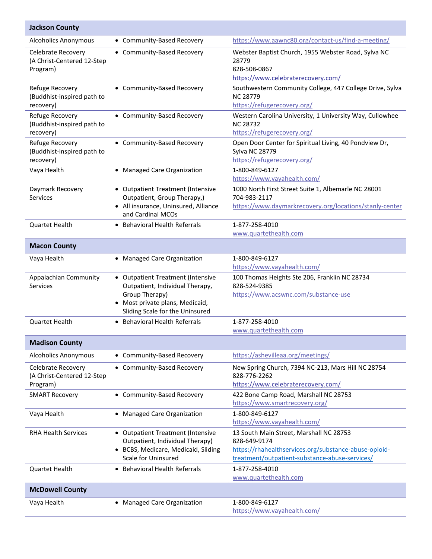| <b>Jackson County</b>                                        |                                                                                                                                                            |                                                                                                                                                                    |
|--------------------------------------------------------------|------------------------------------------------------------------------------------------------------------------------------------------------------------|--------------------------------------------------------------------------------------------------------------------------------------------------------------------|
| <b>Alcoholics Anonymous</b>                                  | • Community-Based Recovery                                                                                                                                 | https://www.aawnc80.org/contact-us/find-a-meeting/                                                                                                                 |
| Celebrate Recovery<br>(A Christ-Centered 12-Step<br>Program) | • Community-Based Recovery                                                                                                                                 | Webster Baptist Church, 1955 Webster Road, Sylva NC<br>28779<br>828-508-0867<br>https://www.celebraterecovery.com/                                                 |
| Refuge Recovery<br>(Buddhist-inspired path to<br>recovery)   | • Community-Based Recovery                                                                                                                                 | Southwestern Community College, 447 College Drive, Sylva<br><b>NC 28779</b><br>https://refugerecovery.org/                                                         |
| Refuge Recovery<br>(Buddhist-inspired path to<br>recovery)   | • Community-Based Recovery                                                                                                                                 | Western Carolina University, 1 University Way, Cullowhee<br><b>NC 28732</b><br>https://refugerecovery.org/                                                         |
| Refuge Recovery<br>(Buddhist-inspired path to<br>recovery)   | • Community-Based Recovery                                                                                                                                 | Open Door Center for Spiritual Living, 40 Pondview Dr,<br><b>Sylva NC 28779</b><br>https://refugerecovery.org/                                                     |
| Vaya Health                                                  | • Managed Care Organization                                                                                                                                | 1-800-849-6127<br>https://www.vayahealth.com/                                                                                                                      |
| Daymark Recovery<br>Services                                 | • Outpatient Treatment (Intensive<br>Outpatient, Group Therapy,)<br>• All insurance, Uninsured, Alliance<br>and Cardinal MCOs                              | 1000 North First Street Suite 1, Albemarle NC 28001<br>704-983-2117<br>https://www.daymarkrecovery.org/locations/stanly-center                                     |
| <b>Quartet Health</b>                                        | <b>Behavioral Health Referrals</b>                                                                                                                         | 1-877-258-4010<br>www.quartethealth.com                                                                                                                            |
| <b>Macon County</b>                                          |                                                                                                                                                            |                                                                                                                                                                    |
| Vaya Health                                                  | <b>Managed Care Organization</b>                                                                                                                           | 1-800-849-6127<br>https://www.vayahealth.com/                                                                                                                      |
| Appalachian Community<br><b>Services</b>                     | • Outpatient Treatment (Intensive<br>Outpatient, Individual Therapy,<br>Group Therapy)<br>Most private plans, Medicaid,<br>Sliding Scale for the Uninsured | 100 Thomas Heights Ste 206, Franklin NC 28734<br>828-524-9385<br>https://www.acswnc.com/substance-use                                                              |
| <b>Quartet Health</b>                                        | • Behavioral Health Referrals                                                                                                                              | 1-877-258-4010<br>www.quartethealth.com                                                                                                                            |
| <b>Madison County</b>                                        |                                                                                                                                                            |                                                                                                                                                                    |
| <b>Alcoholics Anonymous</b>                                  | • Community-Based Recovery                                                                                                                                 | https://ashevilleaa.org/meetings/                                                                                                                                  |
| Celebrate Recovery<br>(A Christ-Centered 12-Step<br>Program) | • Community-Based Recovery                                                                                                                                 | New Spring Church, 7394 NC-213, Mars Hill NC 28754<br>828-776-2262<br>https://www.celebraterecovery.com/                                                           |
| <b>SMART Recovery</b>                                        | • Community-Based Recovery                                                                                                                                 | 422 Bone Camp Road, Marshall NC 28753<br>https://www.smartrecovery.org/                                                                                            |
| Vaya Health                                                  | • Managed Care Organization                                                                                                                                | 1-800-849-6127<br>https://www.vayahealth.com/                                                                                                                      |
| <b>RHA Health Services</b>                                   | • Outpatient Treatment (Intensive<br>Outpatient, Individual Therapy)<br>• BCBS, Medicare, Medicaid, Sliding<br>Scale for Uninsured                         | 13 South Main Street, Marshall NC 28753<br>828-649-9174<br>https://rhahealthservices.org/substance-abuse-opioid-<br>treatment/outpatient-substance-abuse-services/ |
| Quartet Health                                               | <b>Behavioral Health Referrals</b><br>$\bullet$                                                                                                            | 1-877-258-4010<br>www.quartethealth.com                                                                                                                            |
| <b>McDowell County</b>                                       |                                                                                                                                                            |                                                                                                                                                                    |
| Vaya Health                                                  | • Managed Care Organization                                                                                                                                | 1-800-849-6127<br>https://www.vayahealth.com/                                                                                                                      |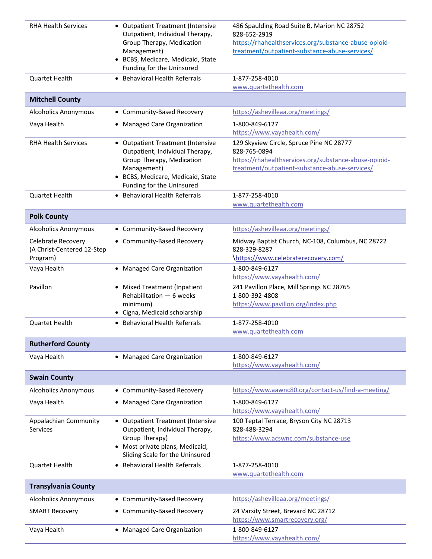| <b>RHA Health Services</b>                                   | • Outpatient Treatment (Intensive<br>Outpatient, Individual Therapy,<br>Group Therapy, Medication<br>Management)<br>• BCBS, Medicare, Medicaid, State<br>Funding for the Uninsured | 486 Spaulding Road Suite B, Marion NC 28752<br>828-652-2919<br>https://rhahealthservices.org/substance-abuse-opioid-<br>treatment/outpatient-substance-abuse-services/ |
|--------------------------------------------------------------|------------------------------------------------------------------------------------------------------------------------------------------------------------------------------------|------------------------------------------------------------------------------------------------------------------------------------------------------------------------|
| <b>Quartet Health</b>                                        | • Behavioral Health Referrals                                                                                                                                                      | 1-877-258-4010<br>www.quartethealth.com                                                                                                                                |
| <b>Mitchell County</b>                                       |                                                                                                                                                                                    |                                                                                                                                                                        |
| <b>Alcoholics Anonymous</b>                                  | • Community-Based Recovery                                                                                                                                                         | https://ashevilleaa.org/meetings/                                                                                                                                      |
| Vaya Health                                                  | • Managed Care Organization                                                                                                                                                        | 1-800-849-6127<br>https://www.vayahealth.com/                                                                                                                          |
| <b>RHA Health Services</b>                                   | • Outpatient Treatment (Intensive<br>Outpatient, Individual Therapy,<br>Group Therapy, Medication<br>Management)<br>• BCBS, Medicare, Medicaid, State<br>Funding for the Uninsured | 129 Skyview Circle, Spruce Pine NC 28777<br>828-765-0894<br>https://rhahealthservices.org/substance-abuse-opioid-<br>treatment/outpatient-substance-abuse-services/    |
| <b>Quartet Health</b>                                        | • Behavioral Health Referrals                                                                                                                                                      | 1-877-258-4010<br>www.quartethealth.com                                                                                                                                |
| <b>Polk County</b>                                           |                                                                                                                                                                                    |                                                                                                                                                                        |
| <b>Alcoholics Anonymous</b>                                  | • Community-Based Recovery                                                                                                                                                         | https://ashevilleaa.org/meetings/                                                                                                                                      |
| Celebrate Recovery<br>(A Christ-Centered 12-Step<br>Program) | • Community-Based Recovery                                                                                                                                                         | Midway Baptist Church, NC-108, Columbus, NC 28722<br>828-329-8287<br>https://www.celebraterecovery.com/                                                                |
| Vaya Health                                                  | • Managed Care Organization                                                                                                                                                        | 1-800-849-6127<br>https://www.vayahealth.com/                                                                                                                          |
| Pavillon                                                     | • Mixed Treatment (Inpatient<br>Rehabilitation - 6 weeks<br>minimum)<br>• Cigna, Medicaid scholarship                                                                              | 241 Pavillon Place, Mill Springs NC 28765<br>1-800-392-4808<br>https://www.pavillon.org/index.php                                                                      |
| Quartet Health                                               | • Behavioral Health Referrals                                                                                                                                                      | 1-877-258-4010<br>www.quartethealth.com                                                                                                                                |
| <b>Rutherford County</b>                                     |                                                                                                                                                                                    |                                                                                                                                                                        |
| Vaya Health                                                  | • Managed Care Organization                                                                                                                                                        | 1-800-849-6127<br>https://www.vayahealth.com/                                                                                                                          |
| <b>Swain County</b>                                          |                                                                                                                                                                                    |                                                                                                                                                                        |
| <b>Alcoholics Anonymous</b>                                  | • Community-Based Recovery                                                                                                                                                         | https://www.aawnc80.org/contact-us/find-a-meeting/                                                                                                                     |
| Vaya Health                                                  | • Managed Care Organization                                                                                                                                                        | 1-800-849-6127<br>https://www.vayahealth.com/                                                                                                                          |
| Appalachian Community<br><b>Services</b>                     | • Outpatient Treatment (Intensive<br>Outpatient, Individual Therapy,<br>Group Therapy)<br>• Most private plans, Medicaid,<br>Sliding Scale for the Uninsured                       | 100 Teptal Terrace, Bryson City NC 28713<br>828-488-3294<br>https://www.acswnc.com/substance-use                                                                       |
| Quartet Health                                               | • Behavioral Health Referrals                                                                                                                                                      | 1-877-258-4010<br>www.quartethealth.com                                                                                                                                |
| <b>Transylvania County</b>                                   |                                                                                                                                                                                    |                                                                                                                                                                        |
| <b>Alcoholics Anonymous</b>                                  | • Community-Based Recovery                                                                                                                                                         | https://ashevilleaa.org/meetings/                                                                                                                                      |
| <b>SMART Recovery</b>                                        | • Community-Based Recovery                                                                                                                                                         | 24 Varsity Street, Brevard NC 28712<br>https://www.smartrecovery.org/                                                                                                  |
| Vaya Health                                                  | • Managed Care Organization                                                                                                                                                        | 1-800-849-6127<br>https://www.vayahealth.com/                                                                                                                          |